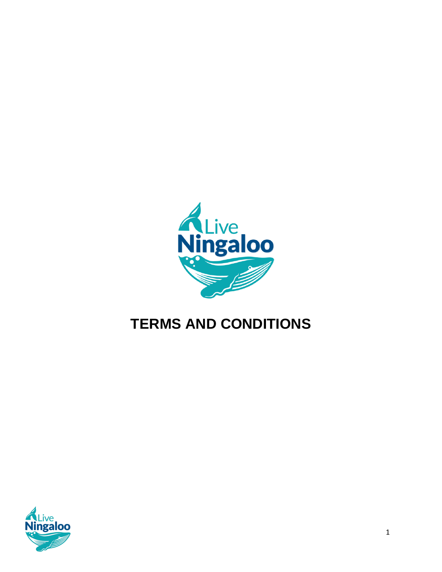

# **TERMS AND CONDITIONS**

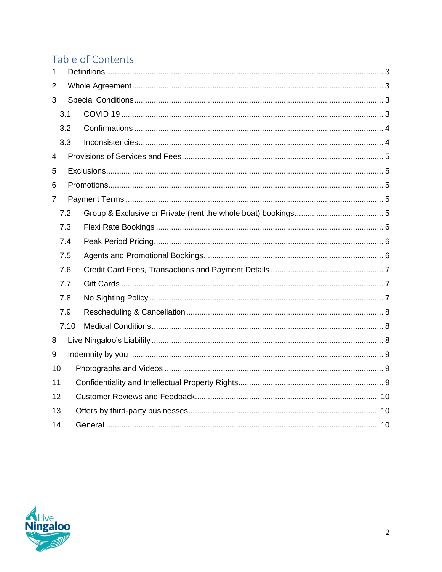## Table of Contents

| $\mathbf{1}$ |      |  |  |  |
|--------------|------|--|--|--|
| 2            |      |  |  |  |
| 3            |      |  |  |  |
|              | 3.1  |  |  |  |
|              | 3.2  |  |  |  |
|              | 3.3  |  |  |  |
| 4            |      |  |  |  |
| 5            |      |  |  |  |
| 6            |      |  |  |  |
| 7            |      |  |  |  |
|              | 7.2  |  |  |  |
|              | 7.3  |  |  |  |
|              | 7.4  |  |  |  |
|              | 7.5  |  |  |  |
| 7.6          |      |  |  |  |
|              | 7.7  |  |  |  |
|              | 7.8  |  |  |  |
|              | 7.9  |  |  |  |
|              | 7.10 |  |  |  |
| 8            |      |  |  |  |
| 9            |      |  |  |  |
| 10           |      |  |  |  |
| 11           |      |  |  |  |
| 12           |      |  |  |  |
| 13           |      |  |  |  |
| 14           |      |  |  |  |

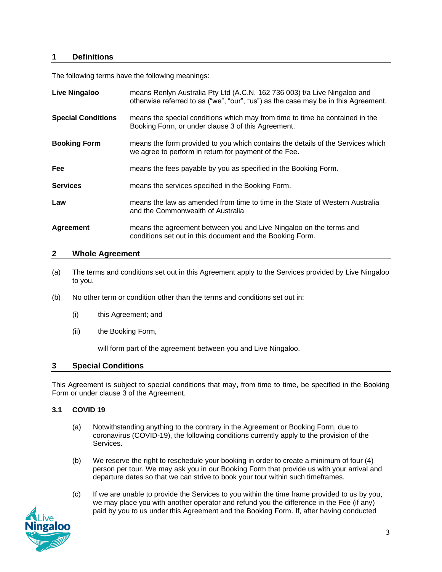#### <span id="page-2-0"></span>**1 Definitions**

The following terms have the following meanings:

| <b>Live Ningaloo</b>      | means Renlyn Australia Pty Ltd (A.C.N. 162 736 003) t/a Live Ningaloo and<br>otherwise referred to as ("we", "our", "us") as the case may be in this Agreement. |
|---------------------------|-----------------------------------------------------------------------------------------------------------------------------------------------------------------|
| <b>Special Conditions</b> | means the special conditions which may from time to time be contained in the<br>Booking Form, or under clause 3 of this Agreement.                              |
| <b>Booking Form</b>       | means the form provided to you which contains the details of the Services which<br>we agree to perform in return for payment of the Fee.                        |
| Fee                       | means the fees payable by you as specified in the Booking Form.                                                                                                 |
| <b>Services</b>           | means the services specified in the Booking Form.                                                                                                               |
| Law                       | means the law as amended from time to time in the State of Western Australia<br>and the Commonwealth of Australia                                               |
| <b>Agreement</b>          | means the agreement between you and Live Ningaloo on the terms and<br>conditions set out in this document and the Booking Form.                                 |

#### <span id="page-2-1"></span>**2 Whole Agreement**

- (a) The terms and conditions set out in this Agreement apply to the Services provided by Live Ningaloo to you.
- (b) No other term or condition other than the terms and conditions set out in:
	- (i) this Agreement; and
	- (ii) the Booking Form,

will form part of the agreement between you and Live Ningaloo.

#### <span id="page-2-2"></span>**3 Special Conditions**

This Agreement is subject to special conditions that may, from time to time, be specified in the Booking Form or under clause 3 of the Agreement.

#### <span id="page-2-3"></span>**3.1 COVID 19**

- (a) Notwithstanding anything to the contrary in the Agreement or Booking Form, due to coronavirus (COVID-19), the following conditions currently apply to the provision of the Services.
- (b) We reserve the right to reschedule your booking in order to create a minimum of four (4) person per tour. We may ask you in our Booking Form that provide us with your arrival and departure dates so that we can strive to book your tour within such timeframes.
- (c) If we are unable to provide the Services to you within the time frame provided to us by you, we may place you with another operator and refund you the difference in the Fee (if any) paid by you to us under this Agreement and the Booking Form. If, after having conducted

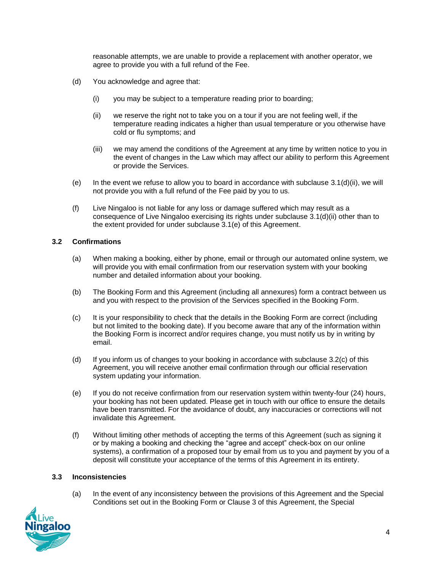reasonable attempts, we are unable to provide a replacement with another operator, we agree to provide you with a full refund of the Fee.

- (d) You acknowledge and agree that:
	- (i) you may be subject to a temperature reading prior to boarding;
	- (ii) we reserve the right not to take you on a tour if you are not feeling well, if the temperature reading indicates a higher than usual temperature or you otherwise have cold or flu symptoms; and
	- (iii) we may amend the conditions of the Agreement at any time by written notice to you in the event of changes in the Law which may affect our ability to perform this Agreement or provide the Services.
- (e) In the event we refuse to allow you to board in accordance with subclause  $3.1(d)(ii)$ , we will not provide you with a full refund of the Fee paid by you to us.
- (f) Live Ningaloo is not liable for any loss or damage suffered which may result as a consequence of Live Ningaloo exercising its rights under subclause 3.1(d)(ii) other than to the extent provided for under subclause 3.1(e) of this Agreement.

#### <span id="page-3-0"></span>**3.2 Confirmations**

- (a) When making a booking, either by phone, email or through our automated online system, we will provide you with email confirmation from our reservation system with your booking number and detailed information about your booking.
- (b) The Booking Form and this Agreement (including all annexures) form a contract between us and you with respect to the provision of the Services specified in the Booking Form.
- (c) It is your responsibility to check that the details in the Booking Form are correct (including but not limited to the booking date). If you become aware that any of the information within the Booking Form is incorrect and/or requires change, you must notify us by in writing by email.
- (d) If you inform us of changes to your booking in accordance with subclause 3.2(c) of this Agreement, you will receive another email confirmation through our official reservation system updating your information.
- (e) If you do not receive confirmation from our reservation system within twenty-four (24) hours, your booking has not been updated. Please get in touch with our office to ensure the details have been transmitted. For the avoidance of doubt, any inaccuracies or corrections will not invalidate this Agreement.
- (f) Without limiting other methods of accepting the terms of this Agreement (such as signing it or by making a booking and checking the "agree and accept" check-box on our online systems), a confirmation of a proposed tour by email from us to you and payment by you of a deposit will constitute your acceptance of the terms of this Agreement in its entirety.

#### <span id="page-3-1"></span>**3.3 Inconsistencies**

(a) In the event of any inconsistency between the provisions of this Agreement and the Special Conditions set out in the Booking Form or Clause 3 of this Agreement, the Special

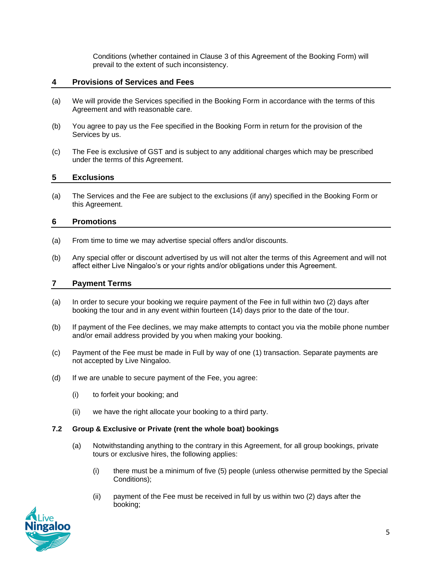Conditions (whether contained in Clause 3 of this Agreement of the Booking Form) will prevail to the extent of such inconsistency.

#### <span id="page-4-0"></span>**4 Provisions of Services and Fees**

- (a) We will provide the Services specified in the Booking Form in accordance with the terms of this Agreement and with reasonable care.
- (b) You agree to pay us the Fee specified in the Booking Form in return for the provision of the Services by us.
- (c) The Fee is exclusive of GST and is subject to any additional charges which may be prescribed under the terms of this Agreement.

#### <span id="page-4-1"></span>**5 Exclusions**

(a) The Services and the Fee are subject to the exclusions (if any) specified in the Booking Form or this Agreement.

#### <span id="page-4-2"></span>**6 Promotions**

- (a) From time to time we may advertise special offers and/or discounts.
- (b) Any special offer or discount advertised by us will not alter the terms of this Agreement and will not affect either Live Ningaloo's or your rights and/or obligations under this Agreement.

#### <span id="page-4-3"></span>**7 Payment Terms**

- (a) In order to secure your booking we require payment of the Fee in full within two (2) days after booking the tour and in any event within fourteen (14) days prior to the date of the tour.
- (b) If payment of the Fee declines, we may make attempts to contact you via the mobile phone number and/or email address provided by you when making your booking.
- (c) Payment of the Fee must be made in Full by way of one (1) transaction. Separate payments are not accepted by Live Ningaloo.
- (d) If we are unable to secure payment of the Fee, you agree:
	- (i) to forfeit your booking; and
	- (ii) we have the right allocate your booking to a third party.

#### <span id="page-4-4"></span>**7.2 Group & Exclusive or Private (rent the whole boat) bookings**

- (a) Notwithstanding anything to the contrary in this Agreement, for all group bookings, private tours or exclusive hires, the following applies:
	- (i) there must be a minimum of five (5) people (unless otherwise permitted by the Special Conditions);
	- (ii) payment of the Fee must be received in full by us within two (2) days after the booking;

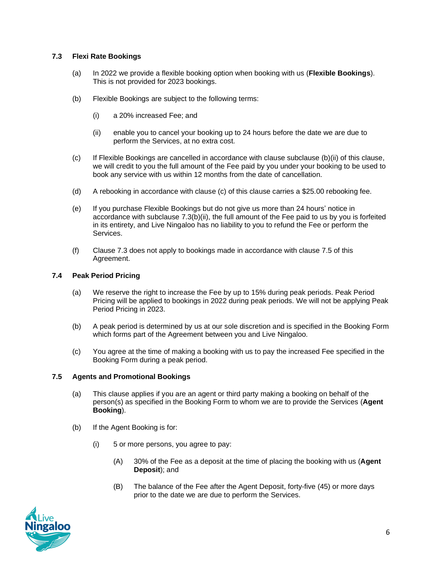#### <span id="page-5-0"></span>**7.3 Flexi Rate Bookings**

- (a) In 2022 we provide a flexible booking option when booking with us (**Flexible Bookings**). This is not provided for 2023 bookings.
- (b) Flexible Bookings are subject to the following terms:
	- (i) a 20% increased Fee; and
	- (ii) enable you to cancel your booking up to 24 hours before the date we are due to perform the Services, at no extra cost.
- (c) If Flexible Bookings are cancelled in accordance with clause subclause (b)(ii) of this clause, we will credit to you the full amount of the Fee paid by you under your booking to be used to book any service with us within 12 months from the date of cancellation.
- (d) A rebooking in accordance with clause (c) of this clause carries a \$25.00 rebooking fee.
- (e) If you purchase Flexible Bookings but do not give us more than 24 hours' notice in accordance with subclause 7.3(b)(ii), the full amount of the Fee paid to us by you is forfeited in its entirety, and Live Ningaloo has no liability to you to refund the Fee or perform the **Services**
- (f) Clause 7.3 does not apply to bookings made in accordance with clause 7.5 of this Agreement.

#### <span id="page-5-1"></span>**7.4 Peak Period Pricing**

- (a) We reserve the right to increase the Fee by up to 15% during peak periods. Peak Period Pricing will be applied to bookings in 2022 during peak periods. We will not be applying Peak Period Pricing in 2023.
- (b) A peak period is determined by us at our sole discretion and is specified in the Booking Form which forms part of the Agreement between you and Live Ningaloo.
- (c) You agree at the time of making a booking with us to pay the increased Fee specified in the Booking Form during a peak period.

#### <span id="page-5-2"></span>**7.5 Agents and Promotional Bookings**

- (a) This clause applies if you are an agent or third party making a booking on behalf of the person(s) as specified in the Booking Form to whom we are to provide the Services (**Agent Booking**).
- (b) If the Agent Booking is for:
	- (i) 5 or more persons, you agree to pay:
		- (A) 30% of the Fee as a deposit at the time of placing the booking with us (**Agent Deposit**); and
		- (B) The balance of the Fee after the Agent Deposit, forty-five (45) or more days prior to the date we are due to perform the Services.

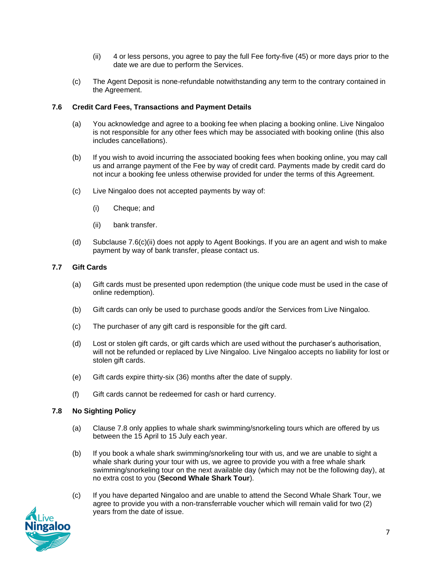- (ii) 4 or less persons, you agree to pay the full Fee forty-five (45) or more days prior to the date we are due to perform the Services.
- (c) The Agent Deposit is none-refundable notwithstanding any term to the contrary contained in the Agreement.

#### <span id="page-6-0"></span>**7.6 Credit Card Fees, Transactions and Payment Details**

- (a) You acknowledge and agree to a booking fee when placing a booking online. Live Ningaloo is not responsible for any other fees which may be associated with booking online (this also includes cancellations).
- (b) If you wish to avoid incurring the associated booking fees when booking online, you may call us and arrange payment of the Fee by way of credit card. Payments made by credit card do not incur a booking fee unless otherwise provided for under the terms of this Agreement.
- (c) Live Ningaloo does not accepted payments by way of:
	- (i) Cheque; and
	- (ii) bank transfer.
- (d) Subclause 7.6(c)(ii) does not apply to Agent Bookings. If you are an agent and wish to make payment by way of bank transfer, please contact us.

#### <span id="page-6-1"></span>**7.7 Gift Cards**

- (a) Gift cards must be presented upon redemption (the unique code must be used in the case of online redemption).
- (b) Gift cards can only be used to purchase goods and/or the Services from Live Ningaloo.
- (c) The purchaser of any gift card is responsible for the gift card.
- (d) Lost or stolen gift cards, or gift cards which are used without the purchaser's authorisation, will not be refunded or replaced by Live Ningaloo. Live Ningaloo accepts no liability for lost or stolen gift cards.
- (e) Gift cards expire thirty-six (36) months after the date of supply.
- (f) Gift cards cannot be redeemed for cash or hard currency.

#### <span id="page-6-2"></span>**7.8 No Sighting Policy**

- (a) Clause 7.8 only applies to whale shark swimming/snorkeling tours which are offered by us between the 15 April to 15 July each year.
- (b) If you book a whale shark swimming/snorkeling tour with us, and we are unable to sight a whale shark during your tour with us, we agree to provide you with a free whale shark swimming/snorkeling tour on the next available day (which may not be the following day), at no extra cost to you (**Second Whale Shark Tour**).
- (c) If you have departed Ningaloo and are unable to attend the Second Whale Shark Tour, we agree to provide you with a non-transferrable voucher which will remain valid for two (2) years from the date of issue.

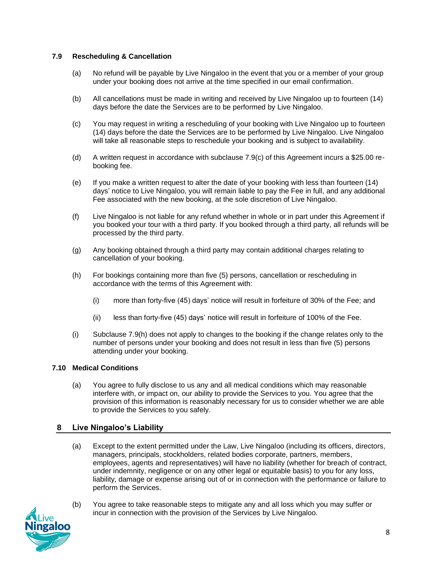#### <span id="page-7-0"></span>**7.9 Rescheduling & Cancellation**

- (a) No refund will be payable by Live Ningaloo in the event that you or a member of your group under your booking does not arrive at the time specified in our email confirmation.
- (b) All cancellations must be made in writing and received by Live Ningaloo up to fourteen (14) days before the date the Services are to be performed by Live Ningaloo.
- (c) You may request in writing a rescheduling of your booking with Live Ningaloo up to fourteen (14) days before the date the Services are to be performed by Live Ningaloo. Live Ningaloo will take all reasonable steps to reschedule your booking and is subject to availability.
- (d) A written request in accordance with subclause 7.9(c) of this Agreement incurs a \$25.00 rebooking fee.
- (e) If you make a written request to alter the date of your booking with less than fourteen (14) days' notice to Live Ningaloo, you will remain liable to pay the Fee in full, and any additional Fee associated with the new booking, at the sole discretion of Live Ningaloo.
- (f) Live Ningaloo is not liable for any refund whether in whole or in part under this Agreement if you booked your tour with a third party. If you booked through a third party, all refunds will be processed by the third party.
- (g) Any booking obtained through a third party may contain additional charges relating to cancellation of your booking.
- (h) For bookings containing more than five (5) persons, cancellation or rescheduling in accordance with the terms of this Agreement with:
	- (i) more than forty-five (45) days' notice will result in forfeiture of 30% of the Fee; and
	- (ii) less than forty-five (45) days' notice will result in forfeiture of 100% of the Fee.
- (i) Subclause 7.9(h) does not apply to changes to the booking if the change relates only to the number of persons under your booking and does not result in less than five (5) persons attending under your booking.

#### <span id="page-7-1"></span>**7.10 Medical Conditions**

(a) You agree to fully disclose to us any and all medical conditions which may reasonable interfere with, or impact on, our ability to provide the Services to you. You agree that the provision of this information is reasonably necessary for us to consider whether we are able to provide the Services to you safely.

#### <span id="page-7-2"></span>**8 Live Ningaloo's Liability**

- (a) Except to the extent permitted under the Law, Live Ningaloo (including its officers, directors, managers, principals, stockholders, related bodies corporate, partners, members, employees, agents and representatives) will have no liability (whether for breach of contract, under indemnity, negligence or on any other legal or equitable basis) to you for any loss, liability, damage or expense arising out of or in connection with the performance or failure to perform the Services.
- (b) You agree to take reasonable steps to mitigate any and all loss which you may suffer or incur in connection with the provision of the Services by Live Ningaloo.

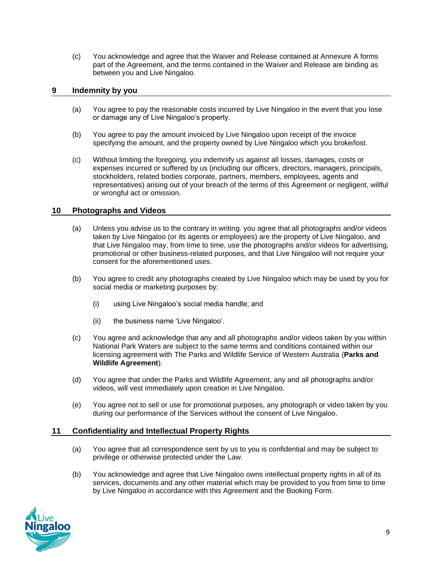(c) You acknowledge and agree that the Waiver and Release contained at Annexure A forms part of the Agreement, and the terms contained in the Waiver and Release are binding as between you and Live Ningaloo.

#### <span id="page-8-0"></span>**9 Indemnity by you**

- (a) You agree to pay the reasonable costs incurred by Live Ningaloo in the event that you lose or damage any of Live Ningaloo's property.
- (b) You agree to pay the amount invoiced by Live Ningaloo upon receipt of the invoice specifying the amount, and the property owned by Live Ningaloo which you broke/lost.
- (c) Without limiting the foregoing, you indemnify us against all losses, damages, costs or expenses incurred or suffered by us (including our officers, directors, managers, principals, stockholders, related bodies corporate, partners, members, employees, agents and representatives) arising out of your breach of the terms of this Agreement or negligent, willful or wrongful act or omission.

#### <span id="page-8-1"></span>**10 Photographs and Videos**

- (a) Unless you advise us to the contrary in writing. you agree that all photographs and/or videos taken by Live Ningaloo (or its agents or employees) are the property of Live Ningaloo, and that Live Ningaloo may, from time to time, use the photographs and/or videos for advertising, promotional or other business-related purposes, and that Live Ningaloo will not require your consent for the aforementioned uses.
- (b) You agree to credit any photographs created by Live Ningaloo which may be used by you for social media or marketing purposes by:
	- (i) using Live Ningaloo's social media handle; and
	- (ii) the business name 'Live Ningaloo'.
- (c) You agree and acknowledge that any and all photographs and/or videos taken by you within National Park Waters are subject to the same terms and conditions contained within our licensing agreement with The Parks and Wildlife Service of Western Australia (**Parks and Wildlife Agreement**).
- (d) You agree that under the Parks and Wildlife Agreement, any and all photographs and/or videos, will vest immediately upon creation in Live Ningaloo.
- (e) You agree not to sell or use for promotional purposes, any photograph or video taken by you during our performance of the Services without the consent of Live Ningaloo.

#### <span id="page-8-2"></span>**11 Confidentiality and Intellectual Property Rights**

- (a) You agree that all correspondence sent by us to you is confidential and may be subject to privilege or otherwise protected under the Law.
- (b) You acknowledge and agree that Live Ningaloo owns intellectual property rights in all of its services, documents and any other material which may be provided to you from time to time by Live Ningaloo in accordance with this Agreement and the Booking Form.

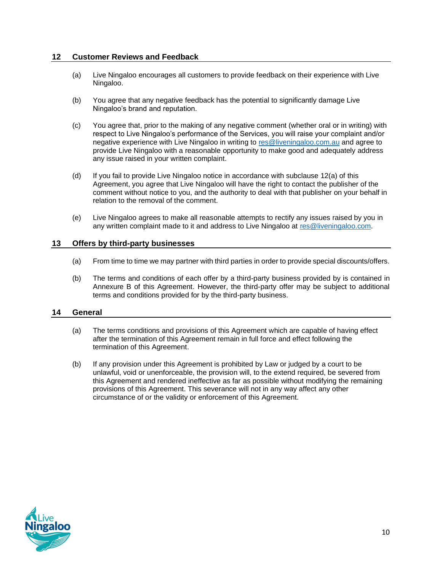#### <span id="page-9-0"></span>**12 Customer Reviews and Feedback**

- (a) Live Ningaloo encourages all customers to provide feedback on their experience with Live Ningaloo.
- (b) You agree that any negative feedback has the potential to significantly damage Live Ningaloo's brand and reputation.
- (c) You agree that, prior to the making of any negative comment (whether oral or in writing) with respect to Live Ningaloo's performance of the Services, you will raise your complaint and/or negative experience with Live Ningaloo in writing to [res@liveningaloo.com.au](mailto:res@liveningaloo.com.au) and agree to provide Live Ningaloo with a reasonable opportunity to make good and adequately address any issue raised in your written complaint.
- (d) If you fail to provide Live Ningaloo notice in accordance with subclause 12(a) of this Agreement, you agree that Live Ningaloo will have the right to contact the publisher of the comment without notice to you, and the authority to deal with that publisher on your behalf in relation to the removal of the comment.
- (e) Live Ningaloo agrees to make all reasonable attempts to rectify any issues raised by you in any written complaint made to it and address to Live Ningaloo at [res@liveningaloo.com.](mailto:res@liveningaloo.com)

#### <span id="page-9-1"></span>**13 Offers by third-party businesses**

- (a) From time to time we may partner with third parties in order to provide special discounts/offers.
- (b) The terms and conditions of each offer by a third-party business provided by is contained in Annexure B of this Agreement. However, the third-party offer may be subject to additional terms and conditions provided for by the third-party business.

#### <span id="page-9-2"></span>**14 General**

- (a) The terms conditions and provisions of this Agreement which are capable of having effect after the termination of this Agreement remain in full force and effect following the termination of this Agreement.
- (b) If any provision under this Agreement is prohibited by Law or judged by a court to be unlawful, void or unenforceable, the provision will, to the extend required, be severed from this Agreement and rendered ineffective as far as possible without modifying the remaining provisions of this Agreement. This severance will not in any way affect any other circumstance of or the validity or enforcement of this Agreement.

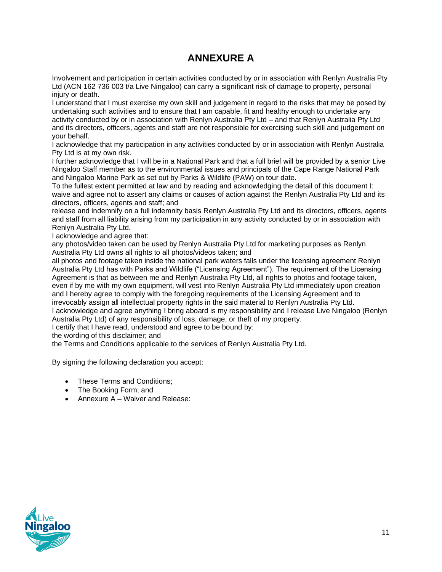### **ANNEXURE A**

Involvement and participation in certain activities conducted by or in association with Renlyn Australia Pty Ltd (ACN 162 736 003 t/a Live Ningaloo) can carry a significant risk of damage to property, personal injury or death.

I understand that I must exercise my own skill and judgement in regard to the risks that may be posed by undertaking such activities and to ensure that I am capable, fit and healthy enough to undertake any activity conducted by or in association with Renlyn Australia Pty Ltd – and that Renlyn Australia Pty Ltd and its directors, officers, agents and staff are not responsible for exercising such skill and judgement on your behalf.

I acknowledge that my participation in any activities conducted by or in association with Renlyn Australia Pty Ltd is at my own risk.

I further acknowledge that I will be in a National Park and that a full brief will be provided by a senior Live Ningaloo Staff member as to the environmental issues and principals of the Cape Range National Park and Ningaloo Marine Park as set out by Parks & Wildlife (PAW) on tour date.

To the fullest extent permitted at law and by reading and acknowledging the detail of this document I: waive and agree not to assert any claims or causes of action against the Renlyn Australia Pty Ltd and its directors, officers, agents and staff; and

release and indemnify on a full indemnity basis Renlyn Australia Pty Ltd and its directors, officers, agents and staff from all liability arising from my participation in any activity conducted by or in association with Renlyn Australia Pty Ltd.

I acknowledge and agree that:

any photos/video taken can be used by Renlyn Australia Pty Ltd for marketing purposes as Renlyn Australia Pty Ltd owns all rights to all photos/videos taken; and

all photos and footage taken inside the national park waters falls under the licensing agreement Renlyn Australia Pty Ltd has with Parks and Wildlife ("Licensing Agreement"). The requirement of the Licensing Agreement is that as between me and Renlyn Australia Pty Ltd, all rights to photos and footage taken, even if by me with my own equipment, will vest into Renlyn Australia Pty Ltd immediately upon creation and I hereby agree to comply with the foregoing requirements of the Licensing Agreement and to irrevocably assign all intellectual property rights in the said material to Renlyn Australia Pty Ltd. I acknowledge and agree anything I bring aboard is my responsibility and I release Live Ningaloo (Renlyn Australia Pty Ltd) of any responsibility of loss, damage, or theft of my property.

I certify that I have read, understood and agree to be bound by:

the wording of this disclaimer; and

the Terms and Conditions applicable to the services of Renlyn Australia Pty Ltd.

By signing the following declaration you accept:

- These Terms and Conditions;
- The Booking Form; and
- Annexure A Waiver and Release: